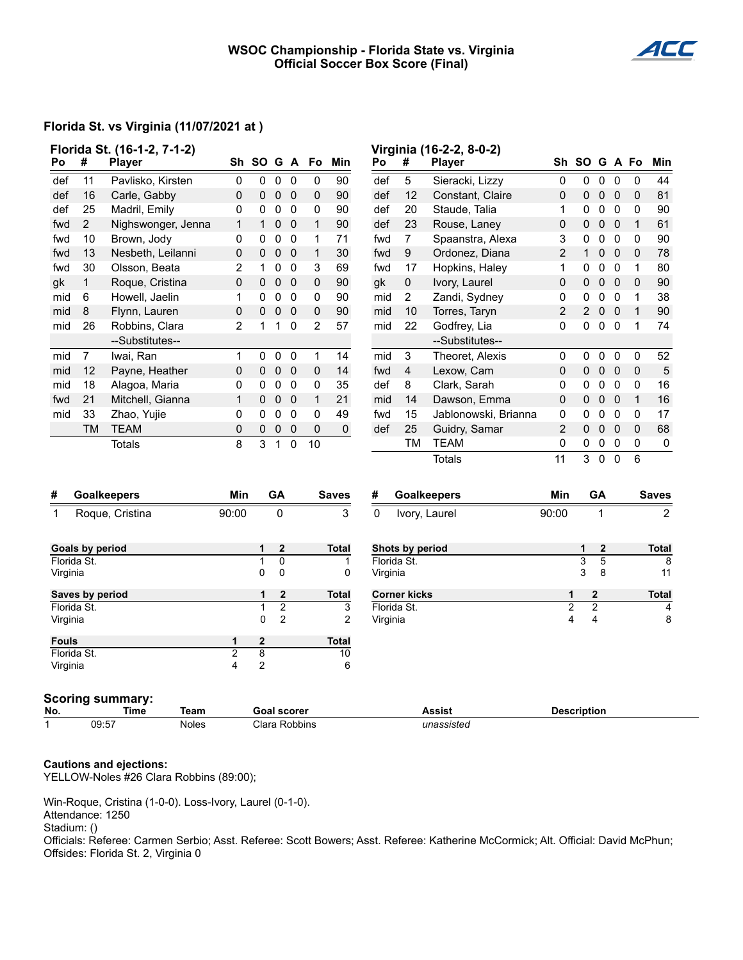#### **WSOC Championship - Florida State vs. Virginia Official Soccer Box Score (Final)**



### **Florida St. vs Virginia (11/07/2021 at )**

| Florida St. (16-1-2, 7-1-2)<br>#<br>Po<br><b>Player</b> |                 |                         |                |                     |                  |              | Sh SO G A Fo   | Min               | Po          | #                              | Virginia (16-2-2, 8-0-2)<br><b>Player</b> |                    | Sh SO G A Fo        |                   |                          |              | Min               |
|---------------------------------------------------------|-----------------|-------------------------|----------------|---------------------|------------------|--------------|----------------|-------------------|-------------|--------------------------------|-------------------------------------------|--------------------|---------------------|-------------------|--------------------------|--------------|-------------------|
| def                                                     | 11              | Pavlisko, Kirsten       | $\pmb{0}$      | $\mathbf 0$         | $\mathsf 0$      | $\mathbf 0$  | 0              | 90                | def         | $\sqrt{5}$                     | Sieracki, Lizzy                           | $\mathbf 0$        | $\pmb{0}$           | $0\quad 0$        |                          | 0            | 44                |
| def                                                     | 16              | Carle, Gabby            | 0              | 0                   | $\pmb{0}$        | $\mathbf 0$  | 0              | 90                | def         | 12                             | Constant, Claire                          | 0                  | $\mathsf{O}\xspace$ | $0\quad 0$        |                          | 0            | 81                |
| def                                                     | 25              | Madril, Emily           | 0              | 0                   | $\mathbf 0$      | 0            | 0              | 90                | def         | 20                             | Staude, Talia                             | 1                  | 0                   | $\mathbf 0$       | - 0                      | 0            | 90                |
| fwd                                                     | $\overline{2}$  | Nighswonger, Jenna      | 1              | $\mathbf{1}$        | $\mathbf 0$      | $\mathbf 0$  | 1              | 90                | def         | 23                             | Rouse, Laney                              | 0                  | 0                   | $\pmb{0}$         | $\overline{\mathbf{0}}$  | $\mathbf{1}$ | 61                |
| fwd                                                     | 10              | Brown, Jody             | 0              | 0                   | $\mathbf 0$      | $\mathbf 0$  | $\mathbf{1}$   | 71                | fwd         | $\overline{7}$                 | Spaanstra, Alexa                          | 3                  | 0                   | $\mathbf 0$       | $\overline{\mathbf{0}}$  | 0            | 90                |
| fwd                                                     | 13              | Nesbeth, Leilanni       | 0              | $\Omega$            | $\mathbf 0$      | $\Omega$     | $\mathbf{1}$   | 30                | fwd         | $\boldsymbol{9}$               | Ordonez, Diana                            | $\overline{2}$     | $\mathbf{1}$        | $\mathbf 0$       | $\overline{\mathbf{0}}$  | 0            | 78                |
| fwd                                                     | 30              | Olsson, Beata           | $\overline{2}$ | 1                   | 0                | $\mathbf 0$  | $\mathsf 3$    | 69                | fwd         | 17                             | Hopkins, Haley                            | 1                  | 0                   | $\pmb{0}$         | $\mathbf 0$              | $\mathbf 1$  | 80                |
| gk                                                      | $\mathbf{1}$    | Roque, Cristina         | 0              | $\mathsf{O}\xspace$ | $\pmb{0}$        | 0            | $\pmb{0}$      | 90                | gk          | $\pmb{0}$                      | Ivory, Laurel                             | 0                  | $\pmb{0}$           | $\pmb{0}$         | $\overline{\mathbf{0}}$  | 0            | 90                |
| mid                                                     | 6               | Howell, Jaelin          | 1              | 0                   | 0                | 0            | 0              | 90                | mid         | $\mathbf{2}$                   | Zandi, Sydney                             | 0                  | 0                   | $\pmb{0}$         | - 0                      | 1            | 38                |
| mid                                                     | 8               | Flynn, Lauren           | 0              | 0                   | $\mathbf 0$      | 0            | 0              | 90                | mid         | 10                             | Torres, Taryn                             | 2                  | $\overline{2}$      | 0                 | - 0                      | $\mathbf{1}$ | 90                |
| mid                                                     | 26              | Robbins, Clara          | $\overline{2}$ | 1                   | 1                | 0            | $\overline{2}$ | 57                | mid         | 22                             | Godfrey, Lia                              | 0                  | 0                   | $\mathbf 0$       | $\overline{0}$           | 1            | 74                |
|                                                         |                 | --Substitutes--         |                |                     |                  |              |                |                   |             |                                | --Substitutes--                           |                    |                     |                   |                          |              |                   |
| mid                                                     | $\overline{7}$  | Iwai, Ran               | $\mathbf{1}$   | $\pmb{0}$           | $\pmb{0}$        | $\pmb{0}$    | $\mathbf{1}$   | 14                | mid         | $\ensuremath{\mathsf{3}}$      | Theoret, Alexis                           | 0                  | $\mathbf 0$         | $\pmb{0}$         | $\pmb{0}$                | $\pmb{0}$    | 52                |
| mid                                                     | 12              | Payne, Heather          | 0              | 0                   | $\mathbf 0$      | 0            | 0              | 14                | fwd         | $\overline{\mathbf{4}}$        | Lexow, Cam                                | 0                  | 0                   | $\mathbf 0$       | $\overline{\phantom{0}}$ | 0            | $\sqrt{5}$        |
| mid                                                     | 18              | Alagoa, Maria           | 0              | 0                   | $\pmb{0}$        | $\mathbf 0$  | 0              | 35                | def         | 8                              | Clark, Sarah                              | 0                  | 0                   | $\pmb{0}$         | $\mathbf 0$              | 0            | 16                |
| fwd                                                     | 21              | Mitchell, Gianna        | 1              | 0                   | $\mathbf 0$      | $\mathbf 0$  | $\mathbf{1}$   | 21                | mid         | 14                             | Dawson, Emma                              | 0                  | 0                   | 0                 | $\overline{0}$           | $\mathbf{1}$ | 16                |
| mid                                                     | 33              | Zhao, Yujie             | 0              | 0                   | 0                | $\mathbf{0}$ | 0              | 49                | fwd         | 15                             | Jablonowski, Brianna                      | 0                  | 0                   | $\mathbf 0$       | $\overline{\mathbf{0}}$  | 0            | 17                |
|                                                         | <b>TM</b>       | <b>TEAM</b>             | 0              | 0                   | $\pmb{0}$        | 0            | 0              | $\pmb{0}$         | def         | 25                             | Guidry, Samar                             | 2                  | 0                   | $\pmb{0}$         | $\overline{\mathbf{0}}$  | 0            | 68                |
|                                                         |                 | <b>Totals</b>           | 8              | 3                   | $\mathbf{1}$     | $\mathbf 0$  | 10             |                   |             | TM                             | <b>TEAM</b>                               | 0                  | 0                   | $\pmb{0}$         | $\pmb{0}$                | 0            | $\pmb{0}$         |
|                                                         |                 |                         |                |                     |                  |              |                |                   |             |                                | <b>Totals</b>                             | 11                 | 3                   | $\overline{0}$    | $\mathbf 0$              | 6            |                   |
|                                                         |                 |                         |                |                     |                  |              |                |                   |             |                                |                                           |                    |                     |                   |                          |              |                   |
| #                                                       |                 | <b>Goalkeepers</b>      | Min            |                     | GA               |              |                | Saves             | #           |                                | <b>Goalkeepers</b>                        | Min                |                     | GA                |                          |              | <b>Saves</b>      |
| $\mathbf{1}$                                            |                 | Roque, Cristina         | 90:00          |                     | 0                |              |                | 3                 | $\mathbf 0$ |                                | Ivory, Laurel                             | 90:00              |                     | 1                 |                          |              | $\overline{2}$    |
|                                                         |                 |                         |                |                     |                  |              |                |                   |             |                                |                                           |                    |                     |                   |                          |              |                   |
| <b>Goals by period</b><br>Florida St.                   |                 |                         |                | 1<br>$\mathbf{1}$   | $\mathbf 2$<br>0 |              |                | <b>Total</b><br>1 |             | Shots by period<br>Florida St. |                                           |                    | 1<br>3              | $\mathbf{2}$<br>5 |                          |              | <b>Total</b><br>8 |
| Virginia                                                |                 |                         |                | 0                   | 0                |              |                | 0                 | Virginia    |                                |                                           |                    | 3                   | 8                 |                          |              | 11                |
|                                                         | Saves by period |                         |                | 1                   | $\mathbf{2}$     |              |                | <b>Total</b>      |             | <b>Corner kicks</b>            |                                           | 1                  |                     | $\boldsymbol{2}$  |                          |              | <b>Total</b>      |
|                                                         | Florida St.     |                         |                | 1                   | $\overline{2}$   |              |                | 3                 |             | Florida St.                    |                                           | $\overline{c}$     |                     | $\overline{c}$    |                          |              | $\overline{4}$    |
| Virginia                                                |                 |                         |                | 0                   | $\overline{c}$   |              |                | 2                 | Virginia    |                                |                                           | 4                  |                     | 4                 |                          |              | 8                 |
| <b>Fouls</b>                                            |                 |                         | 1              | $\overline{2}$      |                  |              |                | <b>Total</b>      |             |                                |                                           |                    |                     |                   |                          |              |                   |
| Florida St.                                             |                 | $\overline{2}$          | 8              |                     |                  |              | 10             |                   |             |                                |                                           |                    |                     |                   |                          |              |                   |
| Virginia                                                |                 |                         | 4              | $\overline{c}$      |                  |              |                | 6                 |             |                                |                                           |                    |                     |                   |                          |              |                   |
|                                                         |                 | <b>Scoring summary:</b> |                |                     |                  |              |                |                   |             |                                |                                           |                    |                     |                   |                          |              |                   |
| No.                                                     |                 | <b>Time</b><br>Team     |                | <b>Goal scorer</b>  |                  |              |                |                   |             |                                | <b>Assist</b>                             | <b>Description</b> |                     |                   |                          |              |                   |

# 1 09:57 Noles Clara Robbins *unassisted*

#### **Cautions and ejections:**

YELLOW-Noles #26 Clara Robbins (89:00);

Win-Roque, Cristina (1-0-0). Loss-Ivory, Laurel (0-1-0). Attendance: 1250

Stadium: ()

Officials: Referee: Carmen Serbio; Asst. Referee: Scott Bowers; Asst. Referee: Katherine McCormick; Alt. Official: David McPhun; Offsides: Florida St. 2, Virginia 0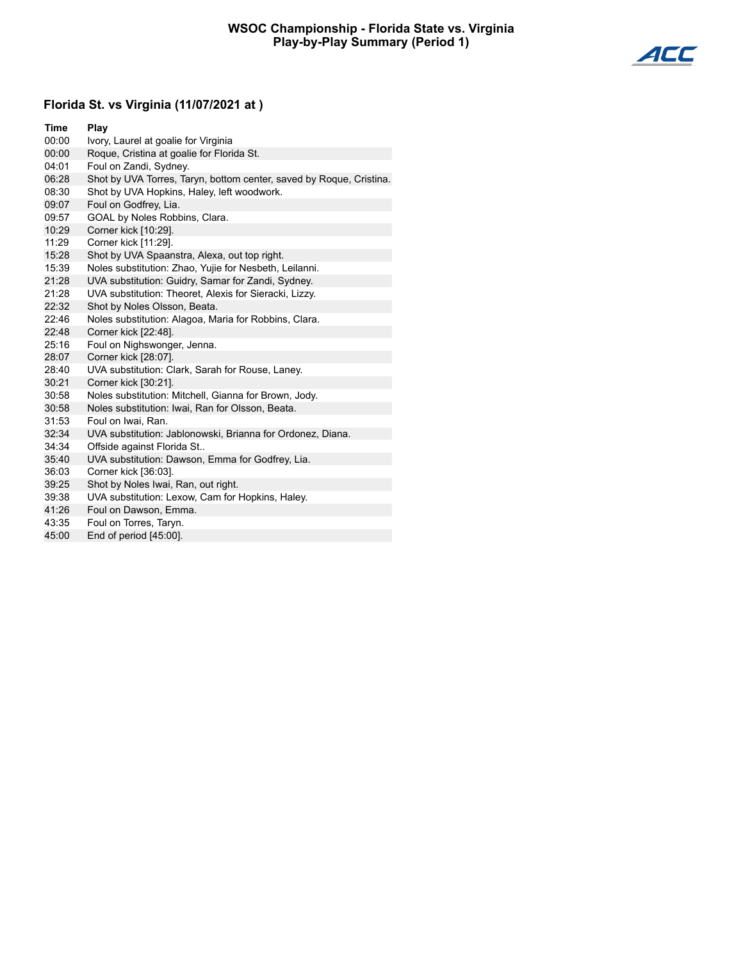

## **Florida St. vs Virginia (11/07/2021 at )**

| <b>Time</b> | Play                                                                |
|-------------|---------------------------------------------------------------------|
| 00:00       | Ivory, Laurel at goalie for Virginia                                |
| 00:00       | Roque, Cristina at goalie for Florida St.                           |
| 04:01       | Foul on Zandi, Sydney.                                              |
| 06:28       | Shot by UVA Torres, Taryn, bottom center, saved by Roque, Cristina. |
| 08:30       | Shot by UVA Hopkins, Haley, left woodwork.                          |
| 09:07       | Foul on Godfrey, Lia.                                               |
| 09:57       | GOAL by Noles Robbins, Clara.                                       |
| 10:29       | Corner kick [10:29].                                                |
| 11:29       | Corner kick [11:29].                                                |
| 15:28       | Shot by UVA Spaanstra, Alexa, out top right.                        |
| 15:39       | Noles substitution: Zhao, Yujie for Nesbeth, Leilanni.              |
| 21:28       | UVA substitution: Guidry, Samar for Zandi, Sydney.                  |
| 21:28       | UVA substitution: Theoret, Alexis for Sieracki, Lizzy.              |
| 22:32       | Shot by Noles Olsson, Beata.                                        |
| 22:46       | Noles substitution: Alagoa, Maria for Robbins, Clara.               |
| 22:48       | Corner kick [22:48].                                                |
| 25:16       | Foul on Nighswonger, Jenna.                                         |
| 28:07       | Corner kick [28:07].                                                |
| 28:40       | UVA substitution: Clark, Sarah for Rouse, Laney.                    |
| 30:21       | Corner kick [30:21].                                                |
| 30:58       | Noles substitution: Mitchell, Gianna for Brown, Jody.               |
| 30:58       | Noles substitution: Iwai, Ran for Olsson, Beata.                    |
| 31:53       | Foul on Iwai, Ran.                                                  |
| 32:34       | UVA substitution: Jablonowski, Brianna for Ordonez, Diana.          |
| 34:34       | Offside against Florida St                                          |
| 35:40       | UVA substitution: Dawson, Emma for Godfrey, Lia.                    |
| 36:03       | Corner kick [36:03].                                                |
| 39:25       | Shot by Noles Iwai, Ran, out right.                                 |
| 39:38       | UVA substitution: Lexow, Cam for Hopkins, Haley.                    |
| 41:26       | Foul on Dawson, Emma.                                               |
| 43:35       | Foul on Torres, Taryn.                                              |

45:00 End of period [45:00].